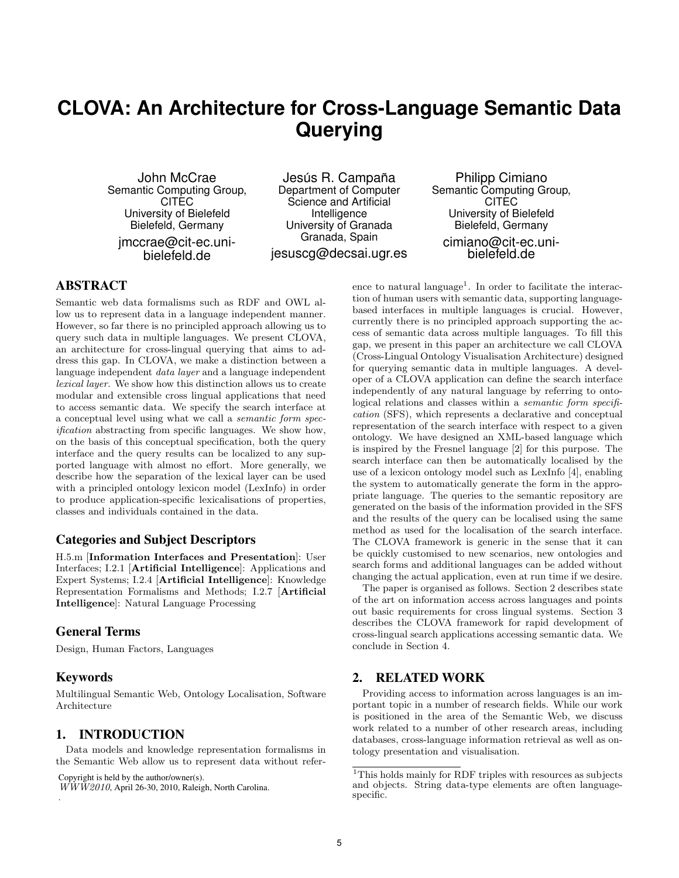# **CLOVA: An Architecture for Cross-Language Semantic Data Querying**

John McCrae Semantic Computing Group, **CITEC** University of Bielefeld Bielefeld, Germany jmccrae@cit-ec.unibielefeld.de

Jesús R. Campaña Department of Computer Science and Artificial Intelligence University of Granada Granada, Spain jesuscg@decsai.ugr.es

Philipp Cimiano Semantic Computing Group, **CITEC** University of Bielefeld Bielefeld, Germany cimiano@cit-ec.uni-

bielefeld.de

# ABSTRACT

Semantic web data formalisms such as RDF and OWL allow us to represent data in a language independent manner. However, so far there is no principled approach allowing us to query such data in multiple languages. We present CLOVA, an architecture for cross-lingual querying that aims to address this gap. In CLOVA, we make a distinction between a language independent data layer and a language independent lexical layer. We show how this distinction allows us to create modular and extensible cross lingual applications that need to access semantic data. We specify the search interface at a conceptual level using what we call a semantic form specification abstracting from specific languages. We show how, on the basis of this conceptual specification, both the query interface and the query results can be localized to any supported language with almost no effort. More generally, we describe how the separation of the lexical layer can be used with a principled ontology lexicon model (LexInfo) in order to produce application-specific lexicalisations of properties, classes and individuals contained in the data.

## Categories and Subject Descriptors

H.5.m [Information Interfaces and Presentation]: User Interfaces; I.2.1 [Artificial Intelligence]: Applications and Expert Systems; I.2.4 [Artificial Intelligence]: Knowledge Representation Formalisms and Methods; I.2.7 [Artificial Intelligence]: Natural Language Processing

## General Terms

Design, Human Factors, Languages

## Keywords

.

Multilingual Semantic Web, Ontology Localisation, Software Architecture

## 1. INTRODUCTION

Data models and knowledge representation formalisms in the Semantic Web allow us to represent data without refer-

Copyright is held by the author/owner(s).

 $\overline{WWW2010}$ , April 26-30, 2010, Raleigh, North Carolina.

ence to natural language<sup>1</sup>. In order to facilitate the interaction of human users with semantic data, supporting languagebased interfaces in multiple languages is crucial. However, currently there is no principled approach supporting the access of semantic data across multiple languages. To fill this gap, we present in this paper an architecture we call CLOVA (Cross-Lingual Ontology Visualisation Architecture) designed for querying semantic data in multiple languages. A developer of a CLOVA application can define the search interface independently of any natural language by referring to ontological relations and classes within a semantic form specification (SFS), which represents a declarative and conceptual representation of the search interface with respect to a given ontology. We have designed an XML-based language which is inspired by the Fresnel language [2] for this purpose. The search interface can then be automatically localised by the use of a lexicon ontology model such as LexInfo [4], enabling the system to automatically generate the form in the appropriate language. The queries to the semantic repository are generated on the basis of the information provided in the SFS and the results of the query can be localised using the same method as used for the localisation of the search interface. The CLOVA framework is generic in the sense that it can be quickly customised to new scenarios, new ontologies and search forms and additional languages can be added without changing the actual application, even at run time if we desire.

The paper is organised as follows. Section 2 describes state of the art on information access across languages and points out basic requirements for cross lingual systems. Section 3 describes the CLOVA framework for rapid development of cross-lingual search applications accessing semantic data. We conclude in Section 4.

# 2. RELATED WORK

Providing access to information across languages is an important topic in a number of research fields. While our work is positioned in the area of the Semantic Web, we discuss work related to a number of other research areas, including databases, cross-language information retrieval as well as ontology presentation and visualisation.

 $^1\rm{This}$  holds mainly for RDF triples with resources as subjects and objects. String data-type elements are often languagespecific.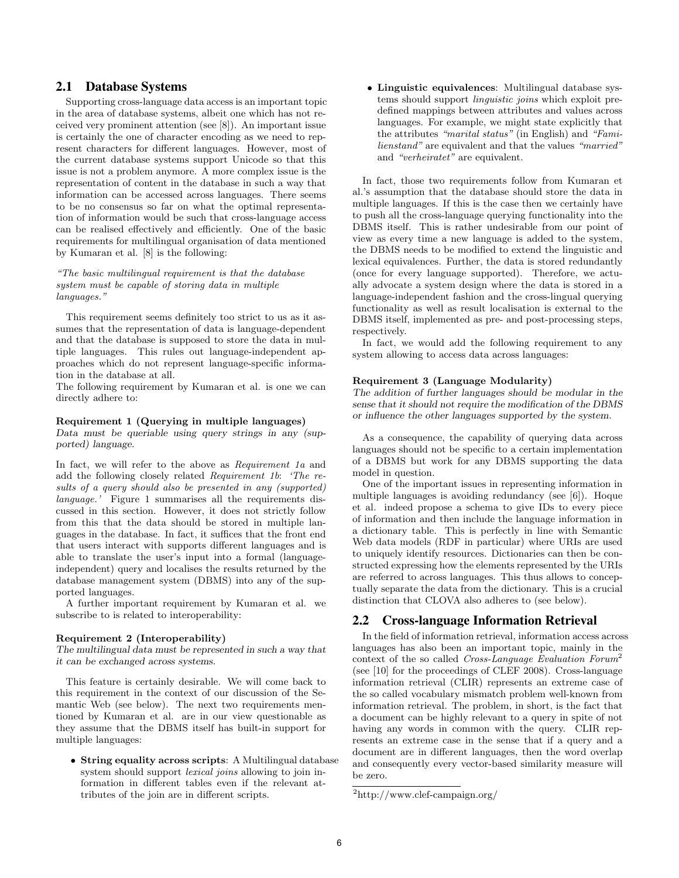## 2.1 Database Systems

Supporting cross-language data access is an important topic in the area of database systems, albeit one which has not received very prominent attention (see [8]). An important issue is certainly the one of character encoding as we need to represent characters for different languages. However, most of the current database systems support Unicode so that this issue is not a problem anymore. A more complex issue is the representation of content in the database in such a way that information can be accessed across languages. There seems to be no consensus so far on what the optimal representation of information would be such that cross-language access can be realised effectively and efficiently. One of the basic requirements for multilingual organisation of data mentioned by Kumaran et al. [8] is the following:

"The basic multilingual requirement is that the database system must be capable of storing data in multiple languages."

This requirement seems definitely too strict to us as it assumes that the representation of data is language-dependent and that the database is supposed to store the data in multiple languages. This rules out language-independent approaches which do not represent language-specific information in the database at all.

The following requirement by Kumaran et al. is one we can directly adhere to:

#### Requirement 1 (Querying in multiple languages)

Data must be queriable using query strings in any (supported) language.

In fact, we will refer to the above as Requirement 1a and add the following closely related Requirement 1b: 'The results of a query should also be presented in any (supported) language.' Figure 1 summarises all the requirements discussed in this section. However, it does not strictly follow from this that the data should be stored in multiple languages in the database. In fact, it suffices that the front end that users interact with supports different languages and is able to translate the user's input into a formal (languageindependent) query and localises the results returned by the database management system (DBMS) into any of the supported languages.

A further important requirement by Kumaran et al. we subscribe to is related to interoperability:

#### Requirement 2 (Interoperability)

The multilingual data must be represented in such a way that it can be exchanged across systems.

This feature is certainly desirable. We will come back to this requirement in the context of our discussion of the Semantic Web (see below). The next two requirements mentioned by Kumaran et al. are in our view questionable as they assume that the DBMS itself has built-in support for multiple languages:

• String equality across scripts: A Multilingual database system should support *lexical joins* allowing to join information in different tables even if the relevant attributes of the join are in different scripts.

• Linguistic equivalences: Multilingual database systems should support linguistic joins which exploit predefined mappings between attributes and values across languages. For example, we might state explicitly that the attributes "marital status" (in English) and "Familienstand" are equivalent and that the values "married" and "verheiratet" are equivalent.

In fact, those two requirements follow from Kumaran et al.'s assumption that the database should store the data in multiple languages. If this is the case then we certainly have to push all the cross-language querying functionality into the DBMS itself. This is rather undesirable from our point of view as every time a new language is added to the system, the DBMS needs to be modified to extend the linguistic and lexical equivalences. Further, the data is stored redundantly (once for every language supported). Therefore, we actually advocate a system design where the data is stored in a language-independent fashion and the cross-lingual querying functionality as well as result localisation is external to the DBMS itself, implemented as pre- and post-processing steps, respectively.

In fact, we would add the following requirement to any system allowing to access data across languages:

#### Requirement 3 (Language Modularity)

The addition of further languages should be modular in the sense that it should not require the modification of the DBMS or influence the other languages supported by the system.

As a consequence, the capability of querying data across languages should not be specific to a certain implementation of a DBMS but work for any DBMS supporting the data model in question.

One of the important issues in representing information in multiple languages is avoiding redundancy (see [6]). Hoque et al. indeed propose a schema to give IDs to every piece of information and then include the language information in a dictionary table. This is perfectly in line with Semantic Web data models (RDF in particular) where URIs are used to uniquely identify resources. Dictionaries can then be constructed expressing how the elements represented by the URIs are referred to across languages. This thus allows to conceptually separate the data from the dictionary. This is a crucial distinction that CLOVA also adheres to (see below).

## 2.2 Cross-language Information Retrieval

In the field of information retrieval, information access across languages has also been an important topic, mainly in the context of the so called Cross-Language Evaluation Forum<sup>2</sup> (see [10] for the proceedings of CLEF 2008). Cross-language information retrieval (CLIR) represents an extreme case of the so called vocabulary mismatch problem well-known from information retrieval. The problem, in short, is the fact that a document can be highly relevant to a query in spite of not having any words in common with the query. CLIR represents an extreme case in the sense that if a query and a document are in different languages, then the word overlap and consequently every vector-based similarity measure will be zero.

<sup>2</sup>http://www.clef-campaign.org/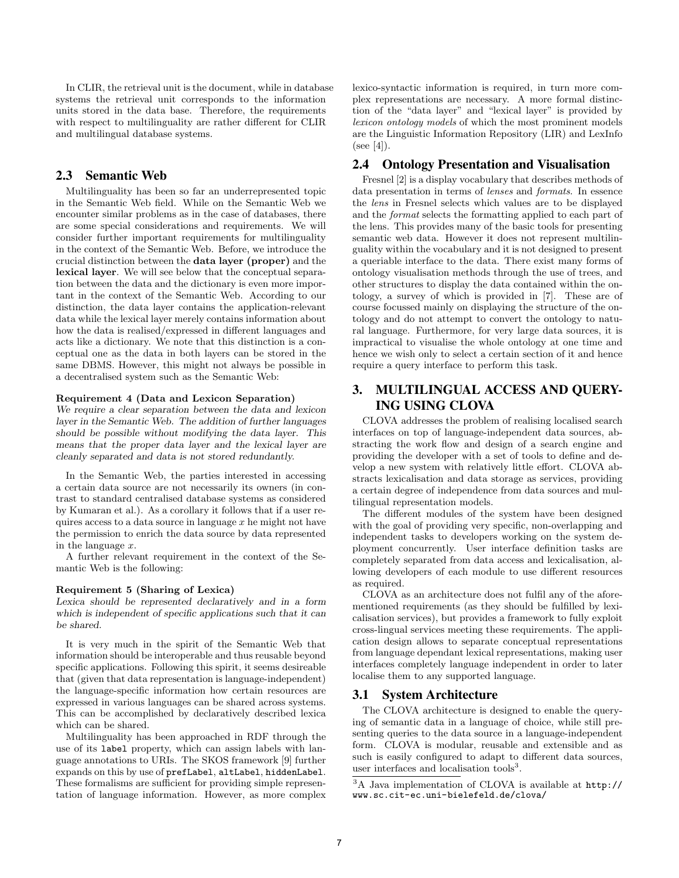In CLIR, the retrieval unit is the document, while in database systems the retrieval unit corresponds to the information units stored in the data base. Therefore, the requirements with respect to multilinguality are rather different for CLIR and multilingual database systems.

## 2.3 Semantic Web

Multilinguality has been so far an underrepresented topic in the Semantic Web field. While on the Semantic Web we encounter similar problems as in the case of databases, there are some special considerations and requirements. We will consider further important requirements for multilinguality in the context of the Semantic Web. Before, we introduce the crucial distinction between the data layer (proper) and the lexical layer. We will see below that the conceptual separation between the data and the dictionary is even more important in the context of the Semantic Web. According to our distinction, the data layer contains the application-relevant data while the lexical layer merely contains information about how the data is realised/expressed in different languages and acts like a dictionary. We note that this distinction is a conceptual one as the data in both layers can be stored in the same DBMS. However, this might not always be possible in a decentralised system such as the Semantic Web:

#### Requirement 4 (Data and Lexicon Separation)

We require a clear separation between the data and lexicon layer in the Semantic Web. The addition of further languages should be possible without modifying the data layer. This means that the proper data layer and the lexical layer are cleanly separated and data is not stored redundantly.

In the Semantic Web, the parties interested in accessing a certain data source are not necessarily its owners (in contrast to standard centralised database systems as considered by Kumaran et al.). As a corollary it follows that if a user requires access to a data source in language  $x$  he might not have the permission to enrich the data source by data represented in the language x.

A further relevant requirement in the context of the Semantic Web is the following:

#### Requirement 5 (Sharing of Lexica)

Lexica should be represented declaratively and in a form which is independent of specific applications such that it can be shared.

It is very much in the spirit of the Semantic Web that information should be interoperable and thus reusable beyond specific applications. Following this spirit, it seems desireable that (given that data representation is language-independent) the language-specific information how certain resources are expressed in various languages can be shared across systems. This can be accomplished by declaratively described lexica which can be shared.

Multilinguality has been approached in RDF through the use of its label property, which can assign labels with language annotations to URIs. The SKOS framework [9] further expands on this by use of prefLabel, altLabel, hiddenLabel. These formalisms are sufficient for providing simple representation of language information. However, as more complex lexico-syntactic information is required, in turn more complex representations are necessary. A more formal distinction of the "data layer" and "lexical layer" is provided by lexicon ontology models of which the most prominent models are the Linguistic Information Repository (LIR) and LexInfo  $(see [4]).$ 

## 2.4 Ontology Presentation and Visualisation

Fresnel [2] is a display vocabulary that describes methods of data presentation in terms of lenses and formats. In essence the lens in Fresnel selects which values are to be displayed and the format selects the formatting applied to each part of the lens. This provides many of the basic tools for presenting semantic web data. However it does not represent multilinguality within the vocabulary and it is not designed to present a queriable interface to the data. There exist many forms of ontology visualisation methods through the use of trees, and other structures to display the data contained within the ontology, a survey of which is provided in [7]. These are of course focussed mainly on displaying the structure of the ontology and do not attempt to convert the ontology to natural language. Furthermore, for very large data sources, it is impractical to visualise the whole ontology at one time and hence we wish only to select a certain section of it and hence require a query interface to perform this task.

## 3. MULTILINGUAL ACCESS AND QUERY-ING USING CLOVA

CLOVA addresses the problem of realising localised search interfaces on top of language-independent data sources, abstracting the work flow and design of a search engine and providing the developer with a set of tools to define and develop a new system with relatively little effort. CLOVA abstracts lexicalisation and data storage as services, providing a certain degree of independence from data sources and multilingual representation models.

The different modules of the system have been designed with the goal of providing very specific, non-overlapping and independent tasks to developers working on the system deployment concurrently. User interface definition tasks are completely separated from data access and lexicalisation, allowing developers of each module to use different resources as required.

CLOVA as an architecture does not fulfil any of the aforementioned requirements (as they should be fulfilled by lexicalisation services), but provides a framework to fully exploit cross-lingual services meeting these requirements. The application design allows to separate conceptual representations from language dependant lexical representations, making user interfaces completely language independent in order to later localise them to any supported language.

## 3.1 System Architecture

The CLOVA architecture is designed to enable the querying of semantic data in a language of choice, while still presenting queries to the data source in a language-independent form. CLOVA is modular, reusable and extensible and as such is easily configured to adapt to different data sources, user interfaces and localisation tools<sup>3</sup>.

<sup>3</sup>A Java implementation of CLOVA is available at http:// www.sc.cit-ec.uni-bielefeld.de/clova/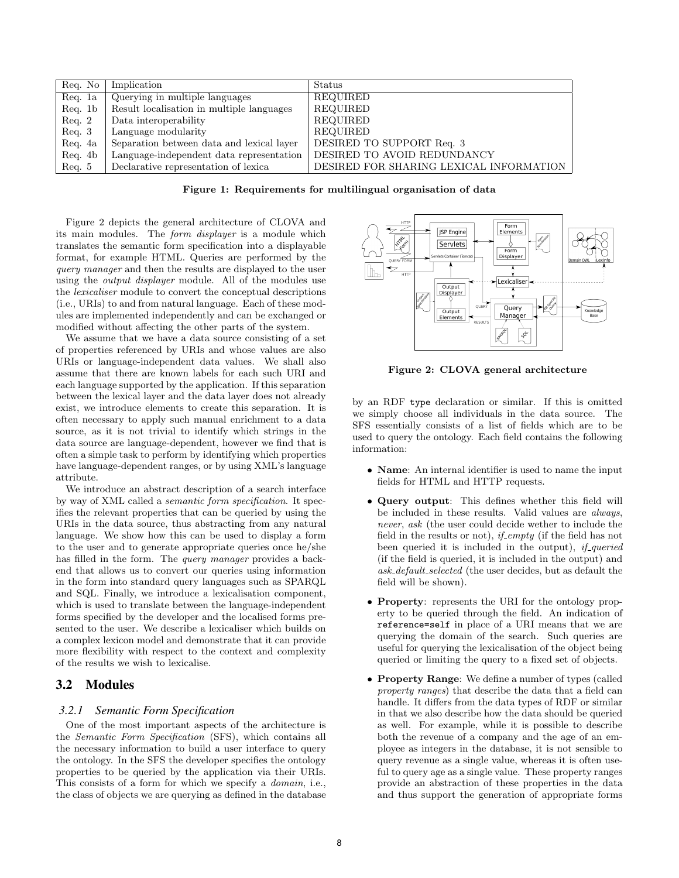| Req. No          | Implication                               | Status                                  |
|------------------|-------------------------------------------|-----------------------------------------|
| Req. 1a          | Querying in multiple languages            | <b>REQUIRED</b>                         |
| Req. 1b          | Result localisation in multiple languages | <b>REQUIRED</b>                         |
| $\text{Req. } 2$ | Data interoperability                     | REQUIRED                                |
| $\text{Req. } 3$ | Language modularity                       | REQUIRED                                |
| Req. 4a          | Separation between data and lexical layer | DESIRED TO SUPPORT Req. 3               |
| Req. 4b          | Language-independent data representation  | DESIRED TO AVOID REDUNDANCY             |
| $\text{Req. } 5$ | Declarative representation of lexica      | DESIRED FOR SHARING LEXICAL INFORMATION |

Figure 1: Requirements for multilingual organisation of data

Figure 2 depicts the general architecture of CLOVA and its main modules. The form displayer is a module which translates the semantic form specification into a displayable format, for example HTML. Queries are performed by the query manager and then the results are displayed to the user using the output displayer module. All of the modules use the lexicaliser module to convert the conceptual descriptions (i.e., URIs) to and from natural language. Each of these modules are implemented independently and can be exchanged or modified without affecting the other parts of the system.

We assume that we have a data source consisting of a set of properties referenced by URIs and whose values are also URIs or language-independent data values. We shall also assume that there are known labels for each such URI and each language supported by the application. If this separation between the lexical layer and the data layer does not already exist, we introduce elements to create this separation. It is often necessary to apply such manual enrichment to a data source, as it is not trivial to identify which strings in the data source are language-dependent, however we find that is often a simple task to perform by identifying which properties have language-dependent ranges, or by using XML's language attribute.

We introduce an abstract description of a search interface by way of XML called a semantic form specification. It specifies the relevant properties that can be queried by using the URIs in the data source, thus abstracting from any natural language. We show how this can be used to display a form to the user and to generate appropriate queries once he/she has filled in the form. The *query manager* provides a backend that allows us to convert our queries using information in the form into standard query languages such as SPARQL and SQL. Finally, we introduce a lexicalisation component, which is used to translate between the language-independent forms specified by the developer and the localised forms presented to the user. We describe a lexicaliser which builds on a complex lexicon model and demonstrate that it can provide more flexibility with respect to the context and complexity of the results we wish to lexicalise.

## 3.2 Modules

#### *3.2.1 Semantic Form Specification*

One of the most important aspects of the architecture is the Semantic Form Specification (SFS), which contains all the necessary information to build a user interface to query the ontology. In the SFS the developer specifies the ontology properties to be queried by the application via their URIs. This consists of a form for which we specify a *domain*, i.e., the class of objects we are querying as defined in the database



Figure 2: CLOVA general architecture

by an RDF type declaration or similar. If this is omitted we simply choose all individuals in the data source. The SFS essentially consists of a list of fields which are to be used to query the ontology. Each field contains the following information:

- Name: An internal identifier is used to name the input fields for HTML and HTTP requests.
- Query output: This defines whether this field will be included in these results. Valid values are *always*, never, ask (the user could decide wether to include the field in the results or not),  $if\_empty$  (if the field has not been queried it is included in the output), *if queried* (if the field is queried, it is included in the output) and ask default selected (the user decides, but as default the field will be shown).
- **Property**: represents the URI for the ontology property to be queried through the field. An indication of reference=self in place of a URI means that we are querying the domain of the search. Such queries are useful for querying the lexicalisation of the object being queried or limiting the query to a fixed set of objects.
- Property Range: We define a number of types (called property ranges) that describe the data that a field can handle. It differs from the data types of RDF or similar in that we also describe how the data should be queried as well. For example, while it is possible to describe both the revenue of a company and the age of an employee as integers in the database, it is not sensible to query revenue as a single value, whereas it is often useful to query age as a single value. These property ranges provide an abstraction of these properties in the data and thus support the generation of appropriate forms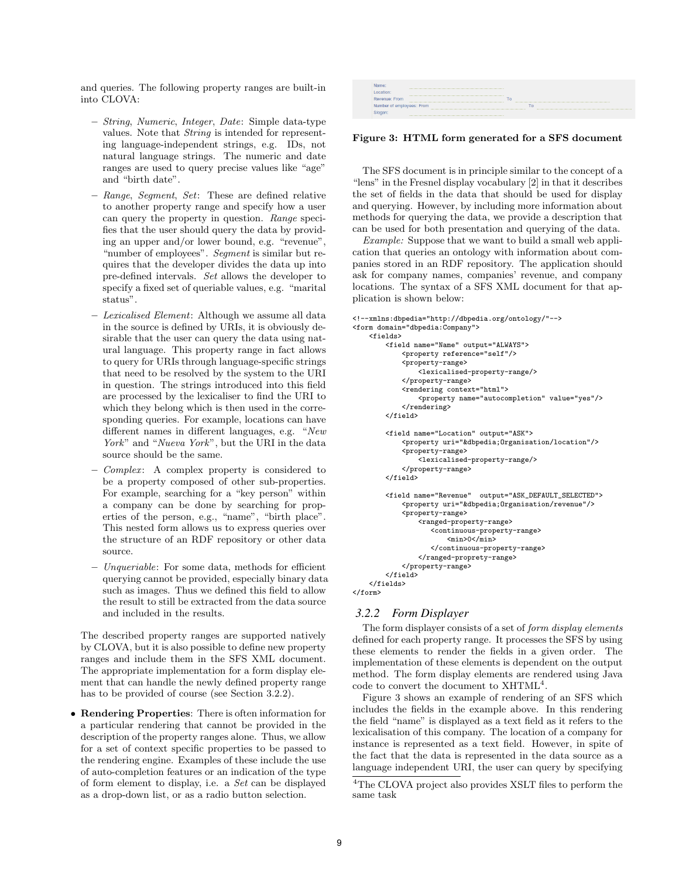and queries. The following property ranges are built-in into CLOVA:

- String, Numeric, Integer, Date: Simple data-type values. Note that String is intended for representing language-independent strings, e.g. IDs, not natural language strings. The numeric and date ranges are used to query precise values like "age" and "birth date".
- Range, Segment, Set: These are defined relative to another property range and specify how a user can query the property in question. Range specifies that the user should query the data by providing an upper and/or lower bound, e.g. "revenue", "number of employees". Segment is similar but requires that the developer divides the data up into pre-defined intervals. Set allows the developer to specify a fixed set of queriable values, e.g. "marital status".
- Lexicalised Element: Although we assume all data in the source is defined by URIs, it is obviously desirable that the user can query the data using natural language. This property range in fact allows to query for URIs through language-specific strings that need to be resolved by the system to the URI in question. The strings introduced into this field are processed by the lexicaliser to find the URI to which they belong which is then used in the corresponding queries. For example, locations can have different names in different languages, e.g. "New York" and "Nueva York", but the URI in the data source should be the same.
- Complex : A complex property is considered to be a property composed of other sub-properties. For example, searching for a "key person" within a company can be done by searching for properties of the person, e.g., "name", "birth place". This nested form allows us to express queries over the structure of an RDF repository or other data source.
- Unqueriable: For some data, methods for efficient querying cannot be provided, especially binary data such as images. Thus we defined this field to allow the result to still be extracted from the data source and included in the results.

The described property ranges are supported natively by CLOVA, but it is also possible to define new property ranges and include them in the SFS XML document. The appropriate implementation for a form display element that can handle the newly defined property range has to be provided of course (see Section 3.2.2).

• Rendering Properties: There is often information for a particular rendering that cannot be provided in the description of the property ranges alone. Thus, we allow for a set of context specific properties to be passed to the rendering engine. Examples of these include the use of auto-completion features or an indication of the type of form element to display, i.e. a Set can be displayed as a drop-down list, or as a radio button selection.



Figure 3: HTML form generated for a SFS document

The SFS document is in principle similar to the concept of a "lens" in the Fresnel display vocabulary [2] in that it describes the set of fields in the data that should be used for display and querying. However, by including more information about methods for querying the data, we provide a description that can be used for both presentation and querying of the data.

Example: Suppose that we want to build a small web application that queries an ontology with information about companies stored in an RDF repository. The application should ask for company names, companies' revenue, and company locations. The syntax of a SFS XML document for that application is shown below:

```
<!--xmlns:dbpedia="http://dbpedia.org/ontology/"-->
<form domain="dbpedia:Company">
    <fields>
        <field name="Name" output="ALWAYS">
            <property reference="self"/>
            <property-range>
                <lexicalised-property-range/>
            </property-range>
            <rendering context="html">
                <property name="autocompletion" value="yes"/>
            </rendering>
        </field>
        <field name="Location" output="ASK">
            <property uri="&dbpedia;Organisation/location"/>
            <property-range>
                <lexicalised-property-range/>
            </property-range>
        </field>
        <field name="Revenue" output="ASK_DEFAULT_SELECTED">
            <property uri="&dbpedia;Organisation/revenue"/>
            <property-range>
                <ranged-property-range>
                    <continuous-property-range>
                        <sub>min</sub>>0<<sub>min</sub></sub>
                    </continuous-property-range>
                </ranged-proprety-range>
            </property-range>
        </field>
    </fields>
</form>
```
#### *3.2.2 Form Displayer*

The form displayer consists of a set of form display elements defined for each property range. It processes the SFS by using these elements to render the fields in a given order. The implementation of these elements is dependent on the output method. The form display elements are rendered using Java code to convert the document to XHTML<sup>4</sup>.

Figure 3 shows an example of rendering of an SFS which includes the fields in the example above. In this rendering the field "name" is displayed as a text field as it refers to the lexicalisation of this company. The location of a company for instance is represented as a text field. However, in spite of the fact that the data is represented in the data source as a language independent URI, the user can query by specifying

<sup>4</sup>The CLOVA project also provides XSLT files to perform the same task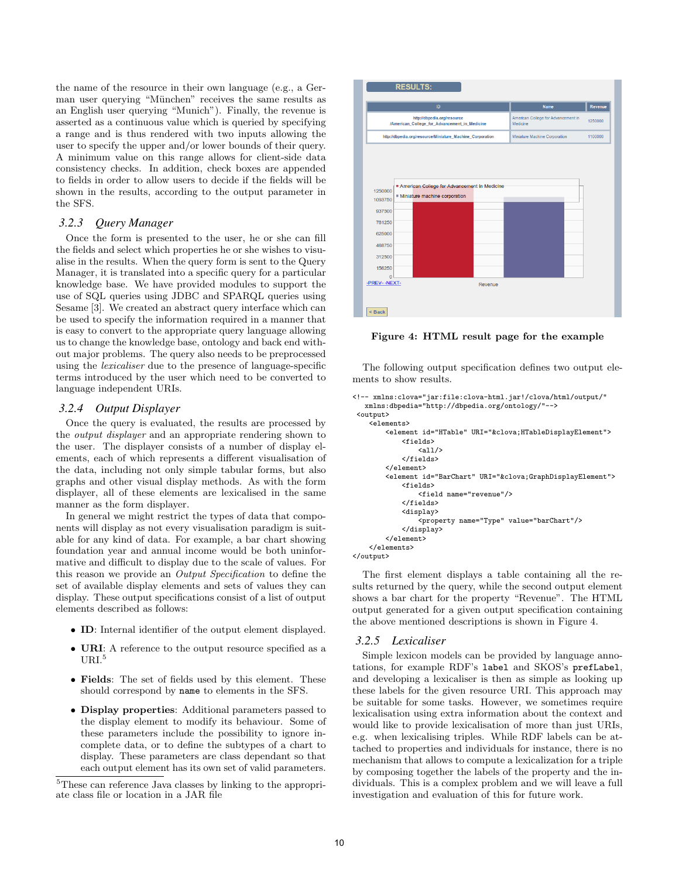the name of the resource in their own language (e.g., a German user querying "München" receives the same results as an English user querying "Munich"). Finally, the revenue is asserted as a continuous value which is queried by specifying a range and is thus rendered with two inputs allowing the user to specify the upper and/or lower bounds of their query. A minimum value on this range allows for client-side data consistency checks. In addition, check boxes are appended to fields in order to allow users to decide if the fields will be shown in the results, according to the output parameter in the SFS.

#### *3.2.3 Query Manager*

Once the form is presented to the user, he or she can fill the fields and select which properties he or she wishes to visualise in the results. When the query form is sent to the Query Manager, it is translated into a specific query for a particular knowledge base. We have provided modules to support the use of SQL queries using JDBC and SPARQL queries using Sesame [3]. We created an abstract query interface which can be used to specify the information required in a manner that is easy to convert to the appropriate query language allowing us to change the knowledge base, ontology and back end without major problems. The query also needs to be preprocessed using the lexicaliser due to the presence of language-specific terms introduced by the user which need to be converted to language independent URIs.

#### *3.2.4 Output Displayer*

Once the query is evaluated, the results are processed by the output displayer and an appropriate rendering shown to the user. The displayer consists of a number of display elements, each of which represents a different visualisation of the data, including not only simple tabular forms, but also graphs and other visual display methods. As with the form displayer, all of these elements are lexicalised in the same manner as the form displayer.

In general we might restrict the types of data that components will display as not every visualisation paradigm is suitable for any kind of data. For example, a bar chart showing foundation year and annual income would be both uninformative and difficult to display due to the scale of values. For this reason we provide an Output Specification to define the set of available display elements and sets of values they can display. These output specifications consist of a list of output elements described as follows:

- ID: Internal identifier of the output element displayed.
- URI: A reference to the output resource specified as a URI.<sup>5</sup>
- Fields: The set of fields used by this element. These should correspond by name to elements in the SFS.
- Display properties: Additional parameters passed to the display element to modify its behaviour. Some of these parameters include the possibility to ignore incomplete data, or to define the subtypes of a chart to display. These parameters are class dependant so that each output element has its own set of valid parameters.

<sup>5</sup>These can reference Java classes by linking to the appropriate class file or location in a JAR file



Figure 4: HTML result page for the example

The following output specification defines two output elements to show results.

```
<!-- xmlns:clova="jar:file:clova-html.jar!/clova/html/output/"
   xmlns:dbpedia="http://dbpedia.org/ontology/"-->
 <output>
    <elements>
        <element id="HTable" URI="&clova;HTableDisplayElement">
            <fields>
                \langleall/\rangle</fields>
        </element>
        <element id="BarChart" URI="&clova;GraphDisplayElement">
            <fields>
                 <field name="revenue"/>
             </fields>
            <display>
                 <property name="Type" value="barChart"/>
             </display>
        </element>
    </elements>
</output>
```
The first element displays a table containing all the results returned by the query, while the second output element shows a bar chart for the property "Revenue". The HTML output generated for a given output specification containing the above mentioned descriptions is shown in Figure 4.

#### *3.2.5 Lexicaliser*

Simple lexicon models can be provided by language annotations, for example RDF's label and SKOS's prefLabel, and developing a lexicaliser is then as simple as looking up these labels for the given resource URI. This approach may be suitable for some tasks. However, we sometimes require lexicalisation using extra information about the context and would like to provide lexicalisation of more than just URIs, e.g. when lexicalising triples. While RDF labels can be attached to properties and individuals for instance, there is no mechanism that allows to compute a lexicalization for a triple by composing together the labels of the property and the individuals. This is a complex problem and we will leave a full investigation and evaluation of this for future work.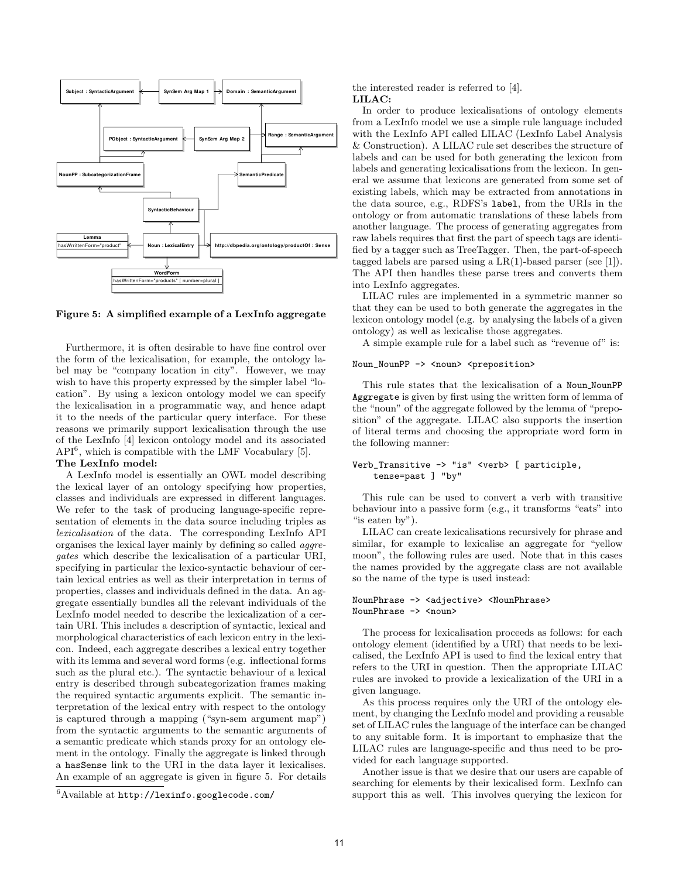

Figure 5: A simplified example of a LexInfo aggregate

Furthermore, it is often desirable to have fine control over the form of the lexicalisation, for example, the ontology label may be "company location in city". However, we may wish to have this property expressed by the simpler label "location". By using a lexicon ontology model we can specify the lexicalisation in a programmatic way, and hence adapt it to the needs of the particular query interface. For these reasons we primarily support lexicalisation through the use of the LexInfo [4] lexicon ontology model and its associated API<sup>6</sup> , which is compatible with the LMF Vocabulary [5].

#### The LexInfo model:

A LexInfo model is essentially an OWL model describing the lexical layer of an ontology specifying how properties, classes and individuals are expressed in different languages. We refer to the task of producing language-specific representation of elements in the data source including triples as lexicalisation of the data. The corresponding LexInfo API organises the lexical layer mainly by defining so called aggregates which describe the lexicalisation of a particular URI, specifying in particular the lexico-syntactic behaviour of certain lexical entries as well as their interpretation in terms of properties, classes and individuals defined in the data. An aggregate essentially bundles all the relevant individuals of the LexInfo model needed to describe the lexicalization of a certain URI. This includes a description of syntactic, lexical and morphological characteristics of each lexicon entry in the lexicon. Indeed, each aggregate describes a lexical entry together with its lemma and several word forms (e.g. inflectional forms such as the plural etc.). The syntactic behaviour of a lexical entry is described through subcategorization frames making the required syntactic arguments explicit. The semantic interpretation of the lexical entry with respect to the ontology is captured through a mapping ("syn-sem argument map") from the syntactic arguments to the semantic arguments of a semantic predicate which stands proxy for an ontology element in the ontology. Finally the aggregate is linked through a hasSense link to the URI in the data layer it lexicalises. An example of an aggregate is given in figure 5. For details

the interested reader is referred to [4]. LILAC:

In order to produce lexicalisations of ontology elements from a LexInfo model we use a simple rule language included with the LexInfo API called LILAC (LexInfo Label Analysis & Construction). A LILAC rule set describes the structure of labels and can be used for both generating the lexicon from labels and generating lexicalisations from the lexicon. In general we assume that lexicons are generated from some set of existing labels, which may be extracted from annotations in the data source, e.g., RDFS's label, from the URIs in the ontology or from automatic translations of these labels from another language. The process of generating aggregates from raw labels requires that first the part of speech tags are identified by a tagger such as TreeTagger. Then, the part-of-speech tagged labels are parsed using a  $LR(1)$ -based parser (see [1]). The API then handles these parse trees and converts them into LexInfo aggregates.

LILAC rules are implemented in a symmetric manner so that they can be used to both generate the aggregates in the lexicon ontology model (e.g. by analysing the labels of a given ontology) as well as lexicalise those aggregates.

A simple example rule for a label such as "revenue of" is:

## Noun\_NounPP -> <noun> <preposition>

This rule states that the lexicalisation of a Noun NounPP Aggregate is given by first using the written form of lemma of the "noun" of the aggregate followed by the lemma of "preposition" of the aggregate. LILAC also supports the insertion of literal terms and choosing the appropriate word form in the following manner:

#### Verb\_Transitive -> "is" <verb> [ participle, tense=past ] "by"

This rule can be used to convert a verb with transitive behaviour into a passive form (e.g., it transforms "eats" into "is eaten by").

LILAC can create lexicalisations recursively for phrase and similar, for example to lexicalise an aggregate for "yellow moon", the following rules are used. Note that in this cases the names provided by the aggregate class are not available so the name of the type is used instead:

#### NounPhrase -> <adjective> <NounPhrase> NounPhrase -> <noun>

The process for lexicalisation proceeds as follows: for each ontology element (identified by a URI) that needs to be lexicalised, the LexInfo API is used to find the lexical entry that refers to the URI in question. Then the appropriate LILAC rules are invoked to provide a lexicalization of the URI in a given language.

As this process requires only the URI of the ontology element, by changing the LexInfo model and providing a reusable set of LILAC rules the language of the interface can be changed to any suitable form. It is important to emphasize that the LILAC rules are language-specific and thus need to be provided for each language supported.

Another issue is that we desire that our users are capable of searching for elements by their lexicalised form. LexInfo can support this as well. This involves querying the lexicon for

 ${}^{6}$ Available at http://lexinfo.googlecode.com/